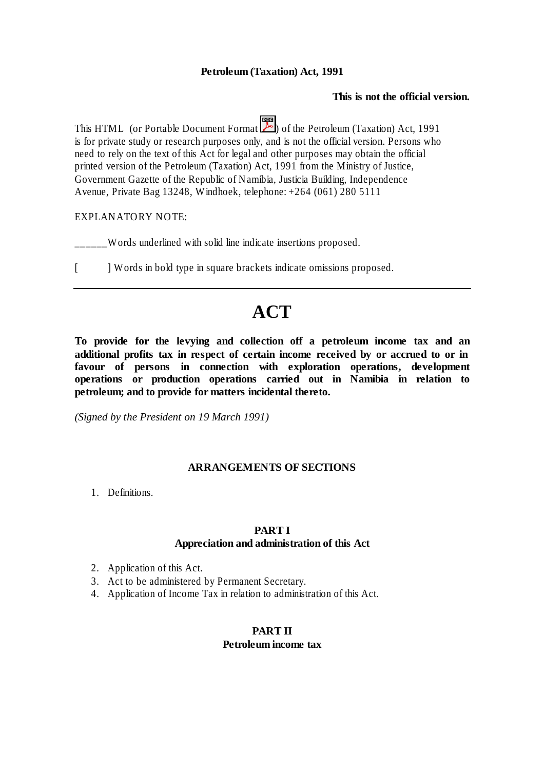#### **Petroleum (Taxation) Act, 1991**

#### **This is not the official version.**

This HTML (or Portable Document Format  $\boxed{\mathbb{R}}$ ) of the Petroleum (Taxation) Act, 1991 is for private study or research purposes only, and is not the official version. Persons who need to rely on the text of this Act for legal and other purposes may obtain the official printed version of the Petroleum (Taxation) Act, 1991 from the Ministry of Justice, Government Gazette of the Republic of Namibia, Justicia Building, Independence Avenue, Private Bag 13248, Windhoek, telephone: +264 (061) 280 5111

#### EXPLANATORY NOTE:

\_\_\_\_\_\_Words underlined with solid line indicate insertions proposed.

[ ] Words in bold type in square brackets indicate omissions proposed.

# **ACT**

**To provide for the levying and collection off a petroleum income tax and an additional profits tax in respect of certain income received by or accrued to or in favour of persons in connection with exploration operations, development operations or production operations carried out in Namibia in relation to petroleum; and to provide for matters incidental thereto.**

*(Signed by the President on 19 March 1991)*

#### **ARRANGEMENTS OF SECTIONS**

1. Definitions.

#### **PART I**

#### **Appreciation and administration of this Act**

- 2. Application of this Act.
- 3. Act to be administered by Permanent Secretary.
- 4. Application of Income Tax in relation to administration of this Act.

## **PART II**

#### **Petroleum income tax**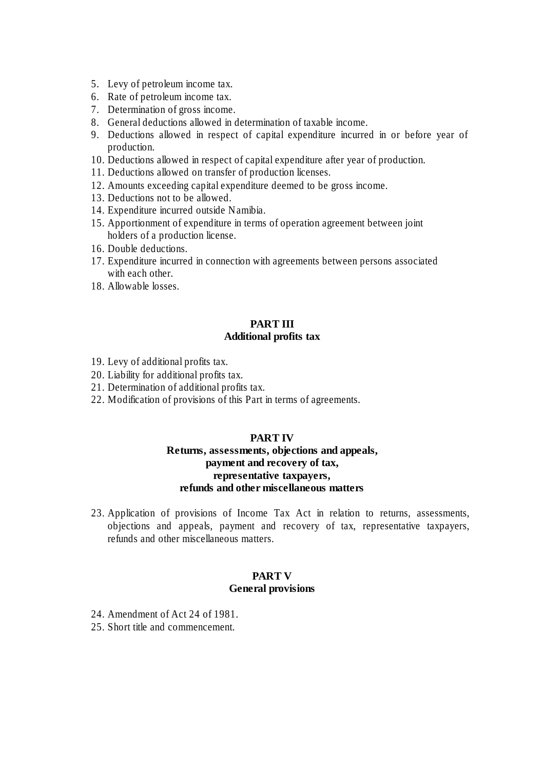- 5. Levy of petroleum income tax.
- 6. Rate of petroleum income tax.
- 7. Determination of gross income.
- 8. General deductions allowed in determination of taxable income.
- 9. Deductions allowed in respect of capital expenditure incurred in or before year of production.
- 10. Deductions allowed in respect of capital expenditure after year of production.
- 11. Deductions allowed on transfer of production licenses.
- 12. Amounts exceeding capital expenditure deemed to be gross income.
- 13. Deductions not to be allowed.
- 14. Expenditure incurred outside Namibia.
- 15. Apportionment of expenditure in terms of operation agreement between joint holders of a production license.
- 16. Double deductions.
- 17. Expenditure incurred in connection with agreements between persons associated with each other.
- 18. Allowable losses.

#### **PART III Additional profits tax**

- 19. Levy of additional profits tax.
- 20. Liability for additional profits tax.
- 21. Determination of additional profits tax.
- 22. Modification of provisions of this Part in terms of agreements.

#### **PART IV Returns, assessments, objections and appeals, payment and recovery of tax, representative taxpayers, refunds and other miscellaneous matters**

23. Application of provisions of Income Tax Act in relation to returns, assessments, objections and appeals, payment and recovery of tax, representative taxpayers, refunds and other miscellaneous matters.

### **PART V General provisions**

- 24. Amendment of Act 24 of 1981.
- 25. Short title and commencement.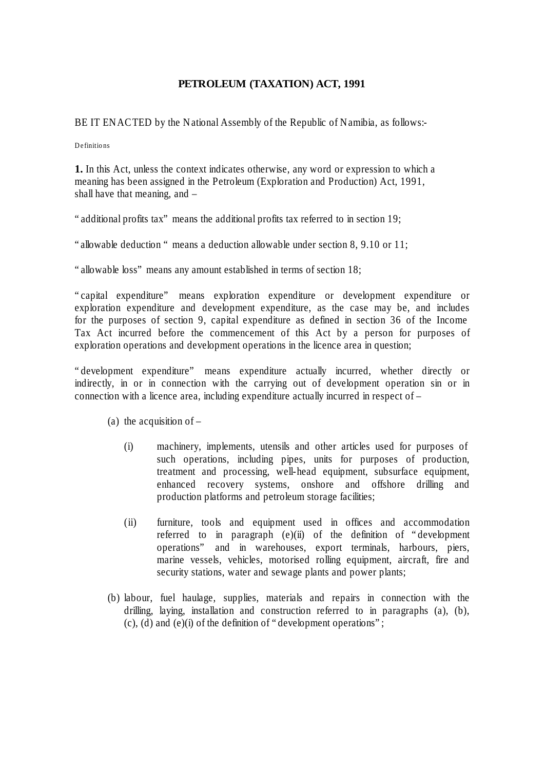## **PETROLEUM (TAXATION) ACT, 1991**

BE IT ENACTED by the National Assembly of the Republic of Namibia, as follows:-

Definitions

**1.** In this Act, unless the context indicates otherwise, any word or expression to which a meaning has been assigned in the Petroleum (Exploration and Production) Act, 1991, shall have that meaning, and –

"additional profits tax" means the additional profits tax referred to in section 19;

"allowable deduction " means a deduction allowable under section 8, 9.10 or 11;

"allowable loss" means any amount established in terms of section 18;

"capital expenditure" means exploration expenditure or development expenditure or exploration expenditure and development expenditure, as the case may be, and includes for the purposes of section 9, capital expenditure as defined in section 36 of the Income Tax Act incurred before the commencement of this Act by a person for purposes of exploration operations and development operations in the licence area in question;

"development expenditure" means expenditure actually incurred, whether directly or indirectly, in or in connection with the carrying out of development operation sin or in connection with a licence area, including expenditure actually incurred in respect of –

- (a) the acquisition of  $-$ 
	- (i) machinery, implements, utensils and other articles used for purposes of such operations, including pipes, units for purposes of production, treatment and processing, well-head equipment, subsurface equipment, enhanced recovery systems, onshore and offshore drilling and production platforms and petroleum storage facilities;
	- (ii) furniture, tools and equipment used in offices and accommodation referred to in paragraph (e)(ii) of the definition of "development" operations" and in warehouses, export terminals, harbours, piers, marine vessels, vehicles, motorised rolling equipment, aircraft, fire and security stations, water and sewage plants and power plants;
- (b) labour, fuel haulage, supplies, materials and repairs in connection with the drilling, laying, installation and construction referred to in paragraphs (a), (b), (c), (d) and (e)(i) of the definition of "development operations";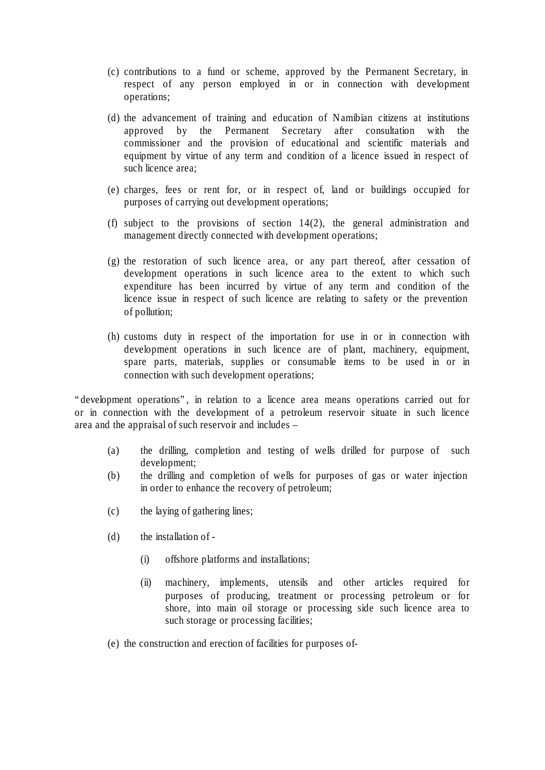- (c) contributions to a fund or scheme, approved by the Permanent Secretary, in respect of any person employed in or in connection with development operations;
- (d) the advancement of training and education of Namibian citizens at institutions approved by the Permanent Secretary after consultation with the commissioner and the provision of educational and scientific materials and equipment by virtue of any term and condition of a licence issued in respect of such licence area;
- (e) charges, fees or rent for, or in respect of, land or buildings occupied for purposes of carrying out development operations;
- (f) subject to the provisions of section 14(2), the general administration and management directly connected with development operations;
- (g) the restoration of such licence area, or any part thereof, after cessation of development operations in such licence area to the extent to which such expenditure has been incurred by virtue of any term and condition of the licence issue in respect of such licence are relating to safety or the prevention of pollution;
- (h) customs duty in respect of the importation for use in or in connection with development operations in such licence are of plant, machinery, equipment, spare parts, materials, supplies or consumable items to be used in or in connection with such development operations;

"development operations", in relation to a licence area means operations carried out for or in connection with the development of a petroleum reservoir situate in such licence area and the appraisal of such reservoir and includes –

- (a) the drilling, completion and testing of wells drilled for purpose of such development;
- (b) the drilling and completion of wells for purposes of gas or water injection in order to enhance the recovery of petroleum;
- (c) the laying of gathering lines;
- (d) the installation of
	- (i) offshore platforms and installations;
	- (ii) machinery, implements, utensils and other articles required for purposes of producing, treatment or processing petroleum or for shore, into main oil storage or processing side such licence area to such storage or processing facilities;
- (e) the construction and erection of facilities for purposes of-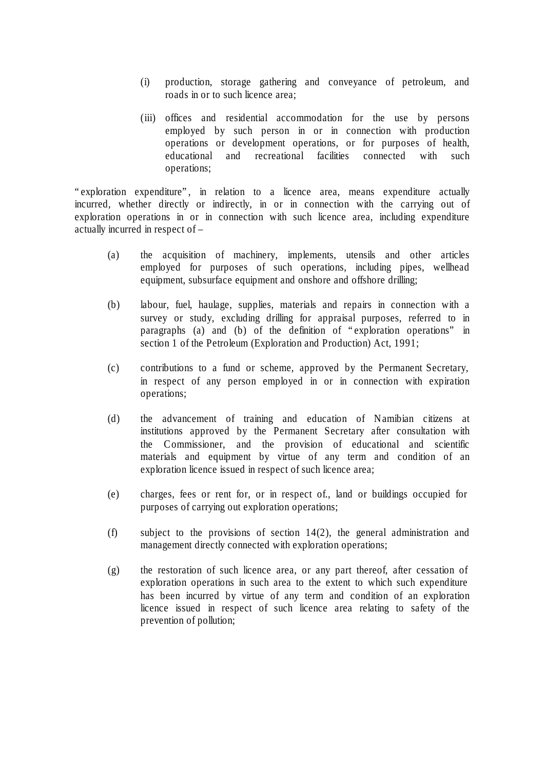- (i) production, storage gathering and conveyance of petroleum, and roads in or to such licence area;
- (iii) offices and residential accommodation for the use by persons employed by such person in or in connection with production operations or development operations, or for purposes of health, educational and recreational facilities connected with such operations;

"exploration expenditure", in relation to a licence area, means expenditure actually incurred, whether directly or indirectly, in or in connection with the carrying out of exploration operations in or in connection with such licence area, including expenditure actually incurred in respect of –

- (a) the acquisition of machinery, implements, utensils and other articles employed for purposes of such operations, including pipes, wellhead equipment, subsurface equipment and onshore and offshore drilling;
- (b) labour, fuel, haulage, supplies, materials and repairs in connection with a survey or study, excluding drilling for appraisal purposes, referred to in paragraphs (a) and (b) of the definition of "exploration operations" in section 1 of the Petroleum (Exploration and Production) Act, 1991;
- (c) contributions to a fund or scheme, approved by the Permanent Secretary, in respect of any person employed in or in connection with expiration operations;
- (d) the advancement of training and education of Namibian citizens at institutions approved by the Permanent Secretary after consultation with the Commissioner, and the provision of educational and scientific materials and equipment by virtue of any term and condition of an exploration licence issued in respect of such licence area;
- (e) charges, fees or rent for, or in respect of., land or buildings occupied for purposes of carrying out exploration operations;
- (f) subject to the provisions of section 14(2), the general administration and management directly connected with exploration operations;
- (g) the restoration of such licence area, or any part thereof, after cessation of exploration operations in such area to the extent to which such expenditure has been incurred by virtue of any term and condition of an exploration licence issued in respect of such licence area relating to safety of the prevention of pollution;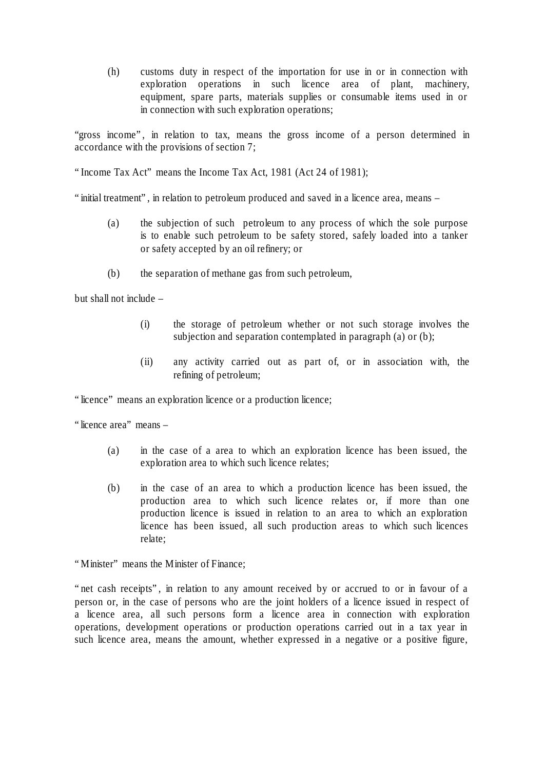(h) customs duty in respect of the importation for use in or in connection with exploration operations in such licence area of plant, machinery, equipment, spare parts, materials supplies or consumable items used in or in connection with such exploration operations;

"gross income", in relation to tax, means the gross income of a person determined in accordance with the provisions of section 7;

"Income Tax Act" means the Income Tax Act, 1981 (Act 24 of 1981);

"initial treatment", in relation to petroleum produced and saved in a licence area, means –

- (a) the subjection of such petroleum to any process of which the sole purpose is to enable such petroleum to be safety stored, safely loaded into a tanker or safety accepted by an oil refinery; or
- (b) the separation of methane gas from such petroleum,

but shall not include –

- (i) the storage of petroleum whether or not such storage involves the subjection and separation contemplated in paragraph (a) or (b);
- (ii) any activity carried out as part of, or in association with, the refining of petroleum;

"licence" means an exploration licence or a production licence;

"licence area" means –

- (a) in the case of a area to which an exploration licence has been issued, the exploration area to which such licence relates;
- (b) in the case of an area to which a production licence has been issued, the production area to which such licence relates or, if more than one production licence is issued in relation to an area to which an exploration licence has been issued, all such production areas to which such licences relate;

"Minister" means the Minister of Finance;

"net cash receipts", in relation to any amount received by or accrued to or in favour of a person or, in the case of persons who are the joint holders of a licence issued in respect of a licence area, all such persons form a licence area in connection with exploration operations, development operations or production operations carried out in a tax year in such licence area, means the amount, whether expressed in a negative or a positive figure,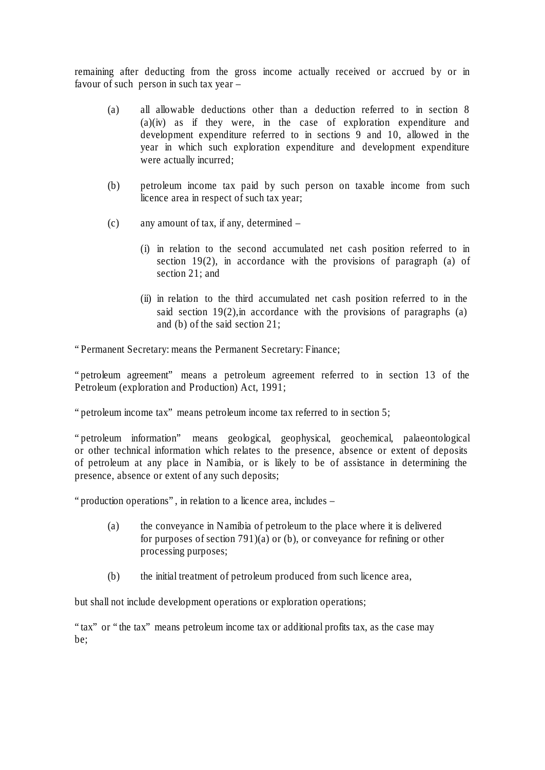remaining after deducting from the gross income actually received or accrued by or in favour of such person in such tax year –

- (a) all allowable deductions other than a deduction referred to in section 8 (a)(iv) as if they were, in the case of exploration expenditure and development expenditure referred to in sections 9 and 10, allowed in the year in which such exploration expenditure and development expenditure were actually incurred;
- (b) petroleum income tax paid by such person on taxable income from such licence area in respect of such tax year;
- (c) any amount of tax, if any, determined
	- (i) in relation to the second accumulated net cash position referred to in section 19(2), in accordance with the provisions of paragraph (a) of section 21; and
	- (ii) in relation to the third accumulated net cash position referred to in the said section  $19(2)$ , in accordance with the provisions of paragraphs (a) and (b) of the said section 21;

"Permanent Secretary: means the Permanent Secretary: Finance;

"petroleum agreement" means a petroleum agreement referred to in section 13 of the Petroleum (exploration and Production) Act, 1991;

"petroleum income tax" means petroleum income tax referred to in section 5;

"petroleum information" means geological, geophysical, geochemical, palaeontological or other technical information which relates to the presence, absence or extent of deposits of petroleum at any place in Namibia, or is likely to be of assistance in determining the presence, absence or extent of any such deposits;

"production operations", in relation to a licence area, includes –

- (a) the conveyance in Namibia of petroleum to the place where it is delivered for purposes of section 791)(a) or (b), or conveyance for refining or other processing purposes;
- (b) the initial treatment of petroleum produced from such licence area,

but shall not include development operations or exploration operations;

"tax" or "the tax" means petroleum income tax or additional profits tax, as the case may be;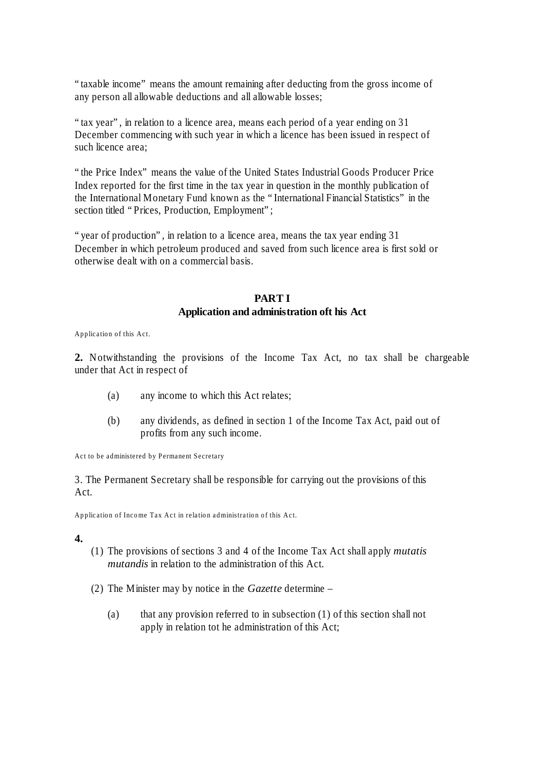"taxable income" means the amount remaining after deducting from the gross income of any person all allowable deductions and all allowable losses;

"tax year", in relation to a licence area, means each period of a year ending on 31 December commencing with such year in which a licence has been issued in respect of such licence area;

"the Price Index" means the value of the United States Industrial Goods Producer Price Index reported for the first time in the tax year in question in the monthly publication of the International Monetary Fund known as the "International Financial Statistics" in the section titled "Prices, Production, Employment";

"year of production", in relation to a licence area, means the tax year ending 31 December in which petroleum produced and saved from such licence area is first sold or otherwise dealt with on a commercial basis.

### **PART I Application and administration oft his Act**

Application of this Act.

**2.** Notwithstanding the provisions of the Income Tax Act, no tax shall be chargeable under that Act in respect of

- (a) any income to which this Act relates;
- (b) any dividends, as defined in section 1 of the Income Tax Act, paid out of profits from any such income.

Act to be administered by Permanent Secretary

3. The Permanent Secretary shall be responsible for carrying out the provisions of this Act.

Application of Income Tax Act in relation administration of this Act.

**4.**

- (1) The provisions of sections 3 and 4 of the Income Tax Act shall apply *mutatis mutandis* in relation to the administration of this Act.
- (2) The Minister may by notice in the *Gazette* determine
	- (a) that any provision referred to in subsection (1) of this section shall not apply in relation tot he administration of this Act;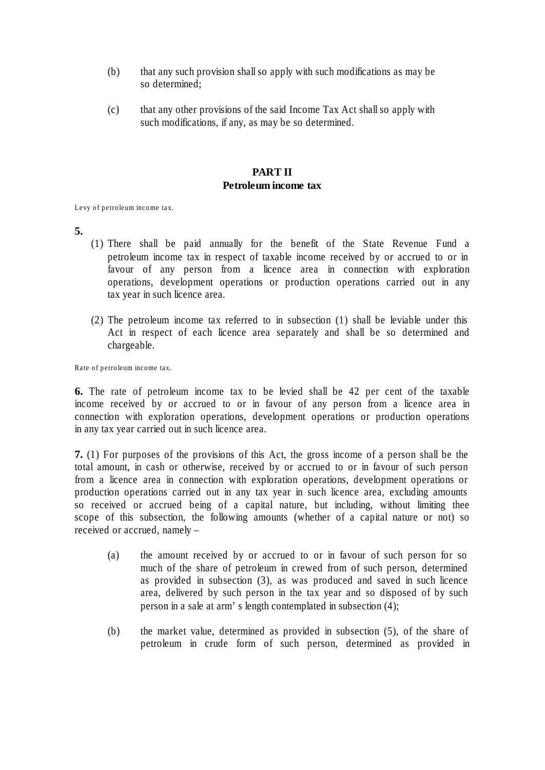- (b) that any such provision shall so apply with such modifications as may be so determined;
- (c) that any other provisions of the said Income Tax Act shall so apply with such modifications, if any, as may be so determined.

#### **PART II Petroleum income tax**

Levy of petroleum income tax.

- **5.**
- (1) There shall be paid annually for the benefit of the State Revenue Fund a petroleum income tax in respect of taxable income received by or accrued to or in favour of any person from a licence area in connection with exploration operations, development operations or production operations carried out in any tax year in such licence area.
- (2) The petroleum income tax referred to in subsection (1) shall be leviable under this Act in respect of each licence area separately and shall be so determined and chargeable.

Rate of petroleum income tax.

**6.** The rate of petroleum income tax to be levied shall be 42 per cent of the taxable income received by or accrued to or in favour of any person from a licence area in connection with exploration operations, development operations or production operations in any tax year carried out in such licence area.

**7.** (1) For purposes of the provisions of this Act, the gross income of a person shall be the total amount, in cash or otherwise, received by or accrued to or in favour of such person from a licence area in connection with exploration operations, development operations or production operations carried out in any tax year in such licence area, excluding amounts so received or accrued being of a capital nature, but including, without limiting thee scope of this subsection, the following amounts (whether of a capital nature or not) so received or accrued, namely –

- (a) the amount received by or accrued to or in favour of such person for so much of the share of petroleum in crewed from of such person, determined as provided in subsection (3), as was produced and saved in such licence area, delivered by such person in the tax year and so disposed of by such person in a sale at arm's length contemplated in subsection (4);
- (b) the market value, determined as provided in subsection (5), of the share of petroleum in crude form of such person, determined as provided in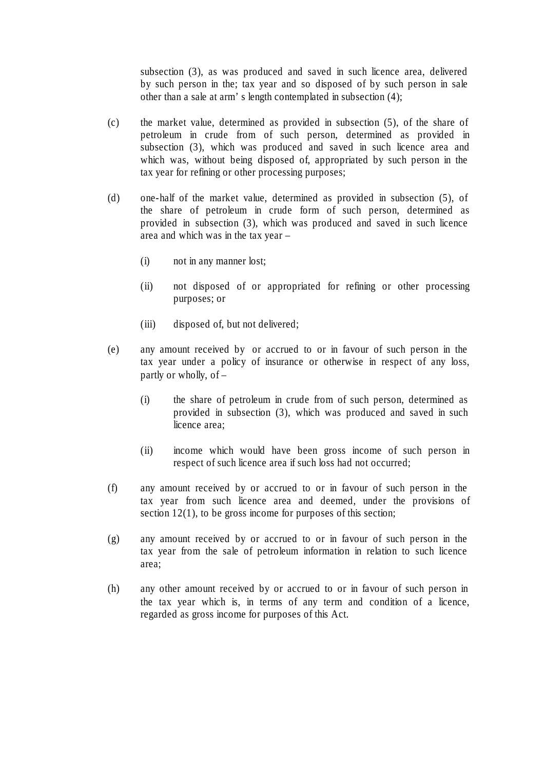subsection (3), as was produced and saved in such licence area, delivered by such person in the; tax year and so disposed of by such person in sale other than a sale at arm's length contemplated in subsection (4);

- (c) the market value, determined as provided in subsection (5), of the share of petroleum in crude from of such person, determined as provided in subsection (3), which was produced and saved in such licence area and which was, without being disposed of, appropriated by such person in the tax year for refining or other processing purposes;
- (d) one-half of the market value, determined as provided in subsection (5), of the share of petroleum in crude form of such person, determined as provided in subsection (3), which was produced and saved in such licence area and which was in the tax year –
	- (i) not in any manner lost;
	- (ii) not disposed of or appropriated for refining or other processing purposes; or
	- (iii) disposed of, but not delivered;
- (e) any amount received by or accrued to or in favour of such person in the tax year under a policy of insurance or otherwise in respect of any loss, partly or wholly, of –
	- (i) the share of petroleum in crude from of such person, determined as provided in subsection (3), which was produced and saved in such licence area;
	- (ii) income which would have been gross income of such person in respect of such licence area if such loss had not occurred;
- (f) any amount received by or accrued to or in favour of such person in the tax year from such licence area and deemed, under the provisions of section 12(1), to be gross income for purposes of this section;
- (g) any amount received by or accrued to or in favour of such person in the tax year from the sale of petroleum information in relation to such licence area;
- (h) any other amount received by or accrued to or in favour of such person in the tax year which is, in terms of any term and condition of a licence, regarded as gross income for purposes of this Act.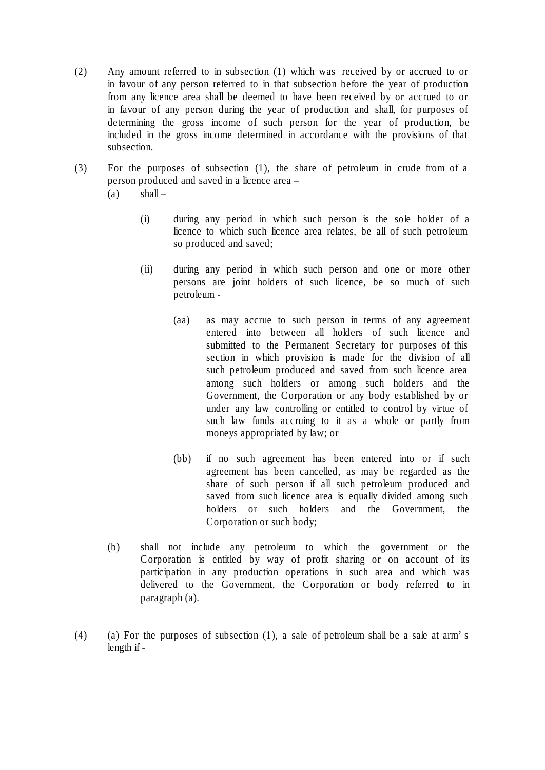- (2) Any amount referred to in subsection (1) which was received by or accrued to or in favour of any person referred to in that subsection before the year of production from any licence area shall be deemed to have been received by or accrued to or in favour of any person during the year of production and shall, for purposes of determining the gross income of such person for the year of production, be included in the gross income determined in accordance with the provisions of that subsection.
- (3) For the purposes of subsection (1), the share of petroleum in crude from of a person produced and saved in a licence area –
	- $(a)$  shall
		- (i) during any period in which such person is the sole holder of a licence to which such licence area relates, be all of such petroleum so produced and saved;
		- (ii) during any period in which such person and one or more other persons are joint holders of such licence, be so much of such petroleum -
			- (aa) as may accrue to such person in terms of any agreement entered into between all holders of such licence and submitted to the Permanent Secretary for purposes of this section in which provision is made for the division of all such petroleum produced and saved from such licence area among such holders or among such holders and the Government, the Corporation or any body established by or under any law controlling or entitled to control by virtue of such law funds accruing to it as a whole or partly from moneys appropriated by law; or
			- (bb) if no such agreement has been entered into or if such agreement has been cancelled, as may be regarded as the share of such person if all such petroleum produced and saved from such licence area is equally divided among such holders or such holders and the Government, the Corporation or such body;
	- (b) shall not include any petroleum to which the government or the Corporation is entitled by way of profit sharing or on account of its participation in any production operations in such area and which was delivered to the Government, the Corporation or body referred to in paragraph (a).
- (4) (a) For the purposes of subsection (1), a sale of petroleum shall be a sale at arm's length if -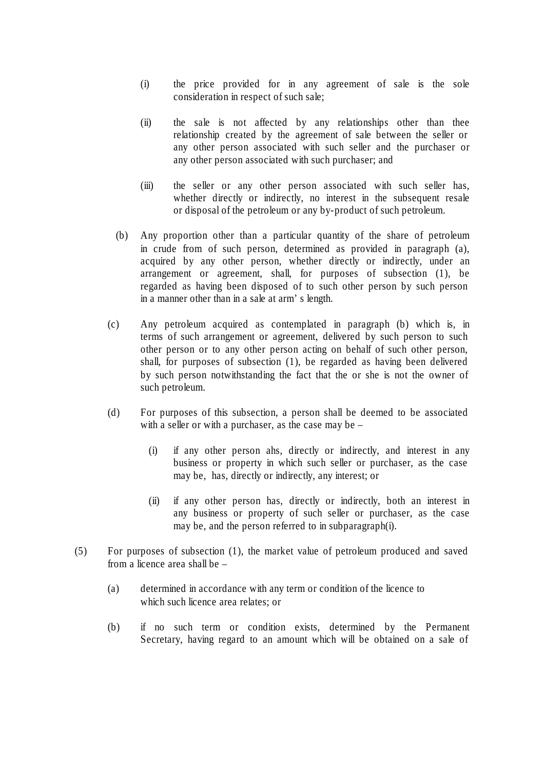- (i) the price provided for in any agreement of sale is the sole consideration in respect of such sale;
- (ii) the sale is not affected by any relationships other than thee relationship created by the agreement of sale between the seller or any other person associated with such seller and the purchaser or any other person associated with such purchaser; and
- (iii) the seller or any other person associated with such seller has, whether directly or indirectly, no interest in the subsequent resale or disposal of the petroleum or any by-product of such petroleum.
- (b) Any proportion other than a particular quantity of the share of petroleum in crude from of such person, determined as provided in paragraph (a), acquired by any other person, whether directly or indirectly, under an arrangement or agreement, shall, for purposes of subsection (1), be regarded as having been disposed of to such other person by such person in a manner other than in a sale at arm's length.
- (c) Any petroleum acquired as contemplated in paragraph (b) which is, in terms of such arrangement or agreement, delivered by such person to such other person or to any other person acting on behalf of such other person, shall, for purposes of subsection (1), be regarded as having been delivered by such person notwithstanding the fact that the or she is not the owner of such petroleum.
- (d) For purposes of this subsection, a person shall be deemed to be associated with a seller or with a purchaser, as the case may be –
	- (i) if any other person ahs, directly or indirectly, and interest in any business or property in which such seller or purchaser, as the case may be, has, directly or indirectly, any interest; or
	- (ii) if any other person has, directly or indirectly, both an interest in any business or property of such seller or purchaser, as the case may be, and the person referred to in subparagraph(i).
- (5) For purposes of subsection (1), the market value of petroleum produced and saved from a licence area shall be –
	- (a) determined in accordance with any term or condition of the licence to which such licence area relates; or
	- (b) if no such term or condition exists, determined by the Permanent Secretary, having regard to an amount which will be obtained on a sale of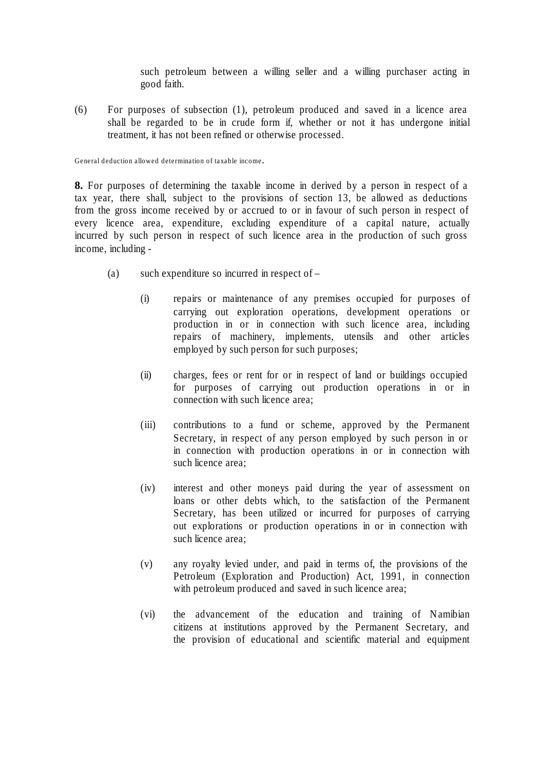such petroleum between a willing seller and a willing purchaser acting in good faith.

(6) For purposes of subsection (1), petroleum produced and saved in a licence area shall be regarded to be in crude form if, whether or not it has undergone initial treatment, it has not been refined or otherwise processed.

General deduction allowed determination of taxable income.

**8.** For purposes of determining the taxable income in derived by a person in respect of a tax year, there shall, subject to the provisions of section 13, be allowed as deductions from the gross income received by or accrued to or in favour of such person in respect of every licence area, expenditure, excluding expenditure of a capital nature, actually incurred by such person in respect of such licence area in the production of such gross income, including -

- (a) such expenditure so incurred in respect of  $-$ 
	- (i) repairs or maintenance of any premises occupied for purposes of carrying out exploration operations, development operations or production in or in connection with such licence area, including repairs of machinery, implements, utensils and other articles employed by such person for such purposes;
	- (ii) charges, fees or rent for or in respect of land or buildings occupied for purposes of carrying out production operations in or in connection with such licence area;
	- (iii) contributions to a fund or scheme, approved by the Permanent Secretary, in respect of any person employed by such person in or in connection with production operations in or in connection with such licence area;
	- (iv) interest and other moneys paid during the year of assessment on loans or other debts which, to the satisfaction of the Permanent Secretary, has been utilized or incurred for purposes of carrying out explorations or production operations in or in connection with such licence area;
	- (v) any royalty levied under, and paid in terms of, the provisions of the Petroleum (Exploration and Production) Act, 1991, in connection with petroleum produced and saved in such licence area;
	- (vi) the advancement of the education and training of Namibian citizens at institutions approved by the Permanent Secretary, and the provision of educational and scientific material and equipment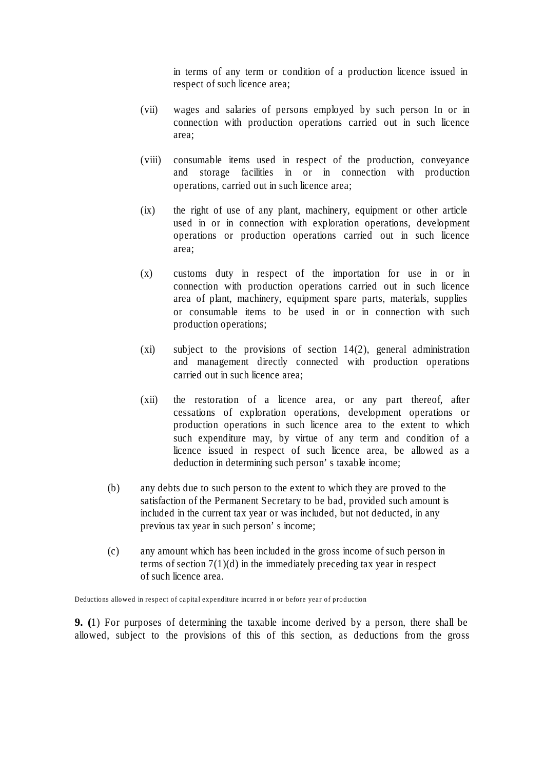in terms of any term or condition of a production licence issued in respect of such licence area;

- (vii) wages and salaries of persons employed by such person In or in connection with production operations carried out in such licence area;
- (viii) consumable items used in respect of the production, conveyance and storage facilities in or in connection with production operations, carried out in such licence area;
- (ix) the right of use of any plant, machinery, equipment or other article used in or in connection with exploration operations, development operations or production operations carried out in such licence area;
- (x) customs duty in respect of the importation for use in or in connection with production operations carried out in such licence area of plant, machinery, equipment spare parts, materials, supplies or consumable items to be used in or in connection with such production operations;
- (xi) subject to the provisions of section 14(2), general administration and management directly connected with production operations carried out in such licence area;
- (xii) the restoration of a licence area, or any part thereof, after cessations of exploration operations, development operations or production operations in such licence area to the extent to which such expenditure may, by virtue of any term and condition of a licence issued in respect of such licence area, be allowed as a deduction in determining such person's taxable income;
- (b) any debts due to such person to the extent to which they are proved to the satisfaction of the Permanent Secretary to be bad, provided such amount is included in the current tax year or was included, but not deducted, in any previous tax year in such person's income;
- (c) any amount which has been included in the gross income of such person in terms of section  $7(1)(d)$  in the immediately preceding tax year in respect of such licence area.

Deductions allowed in respect of capital expenditure incurred in or before year of production

**9. (**1) For purposes of determining the taxable income derived by a person, there shall be allowed, subject to the provisions of this of this section, as deductions from the gross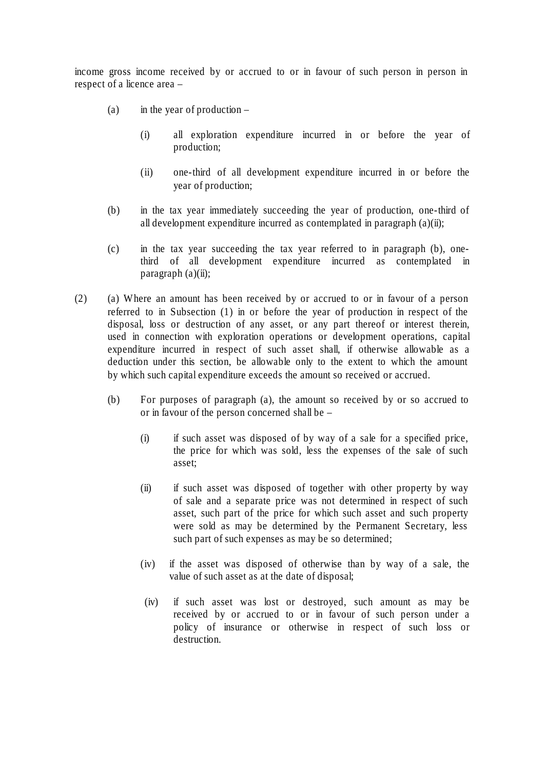income gross income received by or accrued to or in favour of such person in person in respect of a licence area –

- (a) in the year of production  $-$ 
	- (i) all exploration expenditure incurred in or before the year of production;
	- (ii) one-third of all development expenditure incurred in or before the year of production;
- (b) in the tax year immediately succeeding the year of production, one-third of all development expenditure incurred as contemplated in paragraph (a)(ii);
- (c) in the tax year succeeding the tax year referred to in paragraph (b), onethird of all development expenditure incurred as contemplated in paragraph  $(a)(ii)$ ;
- (2) (a) Where an amount has been received by or accrued to or in favour of a person referred to in Subsection (1) in or before the year of production in respect of the disposal, loss or destruction of any asset, or any part thereof or interest therein, used in connection with exploration operations or development operations, capital expenditure incurred in respect of such asset shall, if otherwise allowable as a deduction under this section, be allowable only to the extent to which the amount by which such capital expenditure exceeds the amount so received or accrued.
	- (b) For purposes of paragraph (a), the amount so received by or so accrued to or in favour of the person concerned shall be –
		- (i) if such asset was disposed of by way of a sale for a specified price, the price for which was sold, less the expenses of the sale of such asset;
		- (ii) if such asset was disposed of together with other property by way of sale and a separate price was not determined in respect of such asset, such part of the price for which such asset and such property were sold as may be determined by the Permanent Secretary, less such part of such expenses as may be so determined;
		- (iv) if the asset was disposed of otherwise than by way of a sale, the value of such asset as at the date of disposal;
		- (iv) if such asset was lost or destroyed, such amount as may be received by or accrued to or in favour of such person under a policy of insurance or otherwise in respect of such loss or destruction.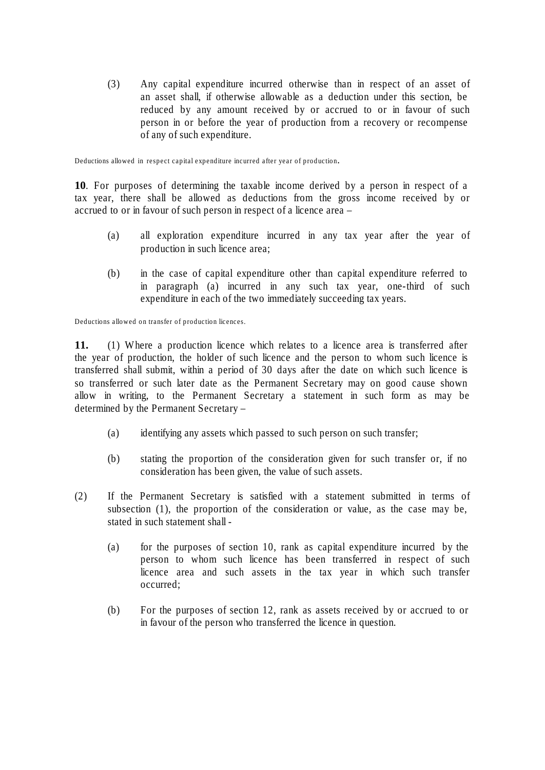(3) Any capital expenditure incurred otherwise than in respect of an asset of an asset shall, if otherwise allowable as a deduction under this section, be reduced by any amount received by or accrued to or in favour of such person in or before the year of production from a recovery or recompense of any of such expenditure.

Deductions allowed in respect capital expenditure incurred after year of production.

**10**. For purposes of determining the taxable income derived by a person in respect of a tax year, there shall be allowed as deductions from the gross income received by or accrued to or in favour of such person in respect of a licence area –

- (a) all exploration expenditure incurred in any tax year after the year of production in such licence area;
- (b) in the case of capital expenditure other than capital expenditure referred to in paragraph (a) incurred in any such tax year, one-third of such expenditure in each of the two immediately succeeding tax years.

Deductions allowed on transfer of production licences.

**11.** (1) Where a production licence which relates to a licence area is transferred after the year of production, the holder of such licence and the person to whom such licence is transferred shall submit, within a period of 30 days after the date on which such licence is so transferred or such later date as the Permanent Secretary may on good cause shown allow in writing, to the Permanent Secretary a statement in such form as may be determined by the Permanent Secretary –

- (a) identifying any assets which passed to such person on such transfer;
- (b) stating the proportion of the consideration given for such transfer or, if no consideration has been given, the value of such assets.
- (2) If the Permanent Secretary is satisfied with a statement submitted in terms of subsection (1), the proportion of the consideration or value, as the case may be, stated in such statement shall -
	- (a) for the purposes of section 10, rank as capital expenditure incurred by the person to whom such licence has been transferred in respect of such licence area and such assets in the tax year in which such transfer occurred;
	- (b) For the purposes of section 12, rank as assets received by or accrued to or in favour of the person who transferred the licence in question.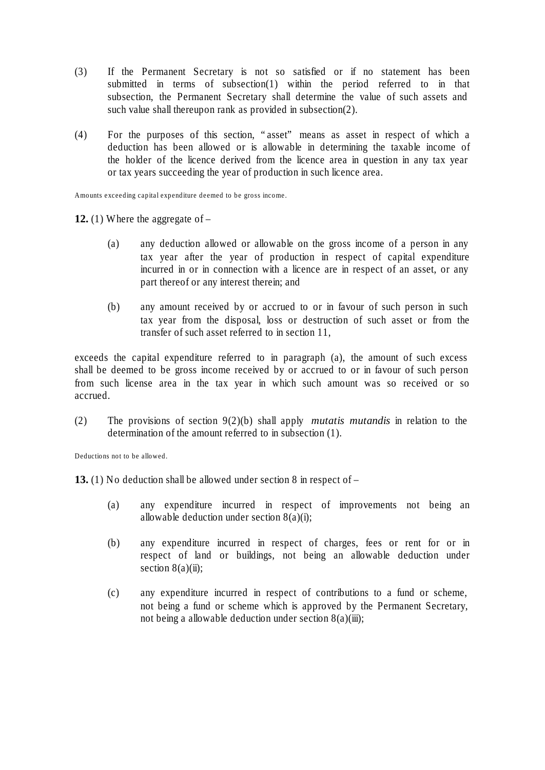- (3) If the Permanent Secretary is not so satisfied or if no statement has been submitted in terms of subsection(1) within the period referred to in that subsection, the Permanent Secretary shall determine the value of such assets and such value shall thereupon rank as provided in subsection(2).
- (4) For the purposes of this section, "asset" means as asset in respect of which a deduction has been allowed or is allowable in determining the taxable income of the holder of the licence derived from the licence area in question in any tax year or tax years succeeding the year of production in such licence area.

Amounts exceeding capital expenditure deemed to be gross income.

**12.** (1) Where the aggregate of –

- (a) any deduction allowed or allowable on the gross income of a person in any tax year after the year of production in respect of capital expenditure incurred in or in connection with a licence are in respect of an asset, or any part thereof or any interest therein; and
- (b) any amount received by or accrued to or in favour of such person in such tax year from the disposal, loss or destruction of such asset or from the transfer of such asset referred to in section 11,

exceeds the capital expenditure referred to in paragraph (a), the amount of such excess shall be deemed to be gross income received by or accrued to or in favour of such person from such license area in the tax year in which such amount was so received or so accrued.

(2) The provisions of section 9(2)(b) shall apply *mutatis mutandis* in relation to the determination of the amount referred to in subsection (1).

Deductions not to be allowed.

**13.** (1) No deduction shall be allowed under section 8 in respect of –

- (a) any expenditure incurred in respect of improvements not being an allowable deduction under section 8(a)(i);
- (b) any expenditure incurred in respect of charges, fees or rent for or in respect of land or buildings, not being an allowable deduction under section  $8(a)(ii)$ ;
- (c) any expenditure incurred in respect of contributions to a fund or scheme, not being a fund or scheme which is approved by the Permanent Secretary, not being a allowable deduction under section  $8(a)(iii)$ ;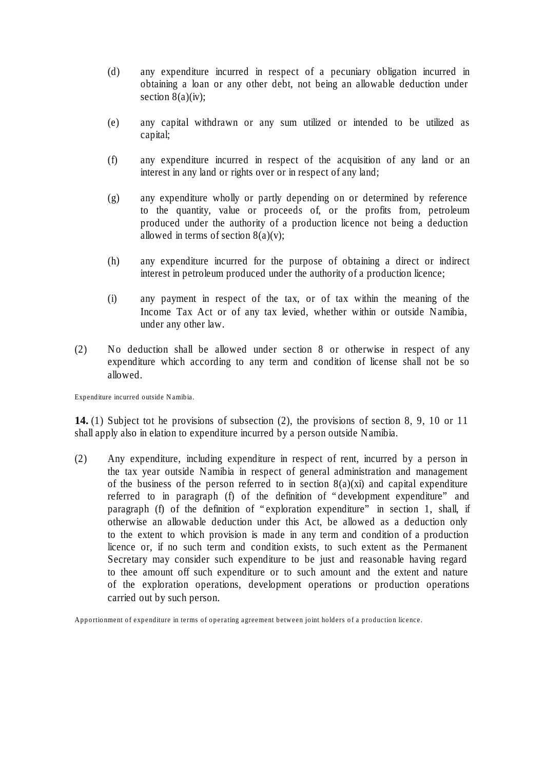- (d) any expenditure incurred in respect of a pecuniary obligation incurred in obtaining a loan or any other debt, not being an allowable deduction under section  $8(a)(iv)$ ;
- (e) any capital withdrawn or any sum utilized or intended to be utilized as capital;
- (f) any expenditure incurred in respect of the acquisition of any land or an interest in any land or rights over or in respect of any land;
- (g) any expenditure wholly or partly depending on or determined by reference to the quantity, value or proceeds of, or the profits from, petroleum produced under the authority of a production licence not being a deduction allowed in terms of section  $8(a)(v)$ ;
- (h) any expenditure incurred for the purpose of obtaining a direct or indirect interest in petroleum produced under the authority of a production licence;
- (i) any payment in respect of the tax, or of tax within the meaning of the Income Tax Act or of any tax levied, whether within or outside Namibia, under any other law.
- (2) No deduction shall be allowed under section 8 or otherwise in respect of any expenditure which according to any term and condition of license shall not be so allowed.

Expenditure incurred outside Namibia.

**14.** (1) Subject tot he provisions of subsection (2), the provisions of section 8, 9, 10 or 11 shall apply also in elation to expenditure incurred by a person outside Namibia.

(2) Any expenditure, including expenditure in respect of rent, incurred by a person in the tax year outside Namibia in respect of general administration and management of the business of the person referred to in section  $8(a)(xi)$  and capital expenditure referred to in paragraph (f) of the definition of "development expenditure" and paragraph (f) of the definition of "exploration expenditure" in section 1, shall, if otherwise an allowable deduction under this Act, be allowed as a deduction only to the extent to which provision is made in any term and condition of a production licence or, if no such term and condition exists, to such extent as the Permanent Secretary may consider such expenditure to be just and reasonable having regard to thee amount off such expenditure or to such amount and the extent and nature of the exploration operations, development operations or production operations carried out by such person.

Apportionment of expenditure in terms of operating agreement between joint holders of a production licence.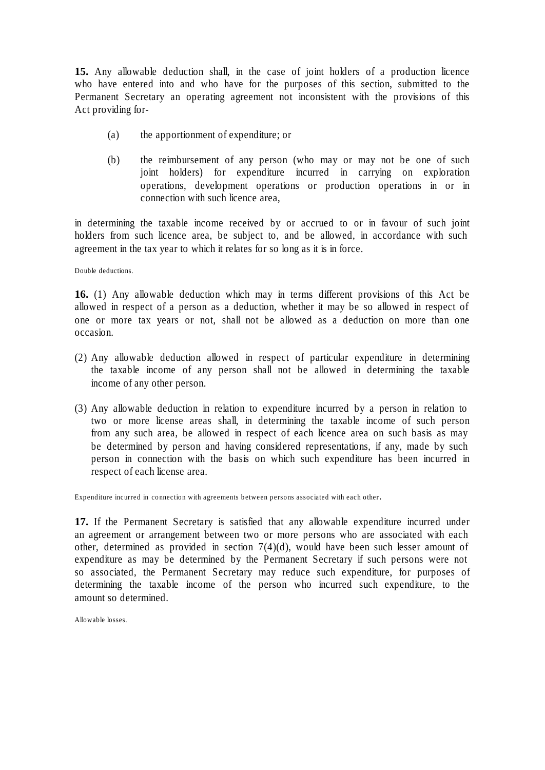**15.** Any allowable deduction shall, in the case of joint holders of a production licence who have entered into and who have for the purposes of this section, submitted to the Permanent Secretary an operating agreement not inconsistent with the provisions of this Act providing for-

- (a) the apportionment of expenditure; or
- (b) the reimbursement of any person (who may or may not be one of such joint holders) for expenditure incurred in carrying on exploration operations, development operations or production operations in or in connection with such licence area,

in determining the taxable income received by or accrued to or in favour of such joint holders from such licence area, be subject to, and be allowed, in accordance with such agreement in the tax year to which it relates for so long as it is in force.

Double deductions.

**16.** (1) Any allowable deduction which may in terms different provisions of this Act be allowed in respect of a person as a deduction, whether it may be so allowed in respect of one or more tax years or not, shall not be allowed as a deduction on more than one occasion.

- (2) Any allowable deduction allowed in respect of particular expenditure in determining the taxable income of any person shall not be allowed in determining the taxable income of any other person.
- (3) Any allowable deduction in relation to expenditure incurred by a person in relation to two or more license areas shall, in determining the taxable income of such person from any such area, be allowed in respect of each licence area on such basis as may be determined by person and having considered representations, if any, made by such person in connection with the basis on which such expenditure has been incurred in respect of each license area.

Expenditure incurred in connection with agreements between persons associated with each other.

**17.** If the Permanent Secretary is satisfied that any allowable expenditure incurred under an agreement or arrangement between two or more persons who are associated with each other, determined as provided in section 7(4)(d), would have been such lesser amount of expenditure as may be determined by the Permanent Secretary if such persons were not so associated, the Permanent Secretary may reduce such expenditure, for purposes of determining the taxable income of the person who incurred such expenditure, to the amount so determined.

Allowable losses.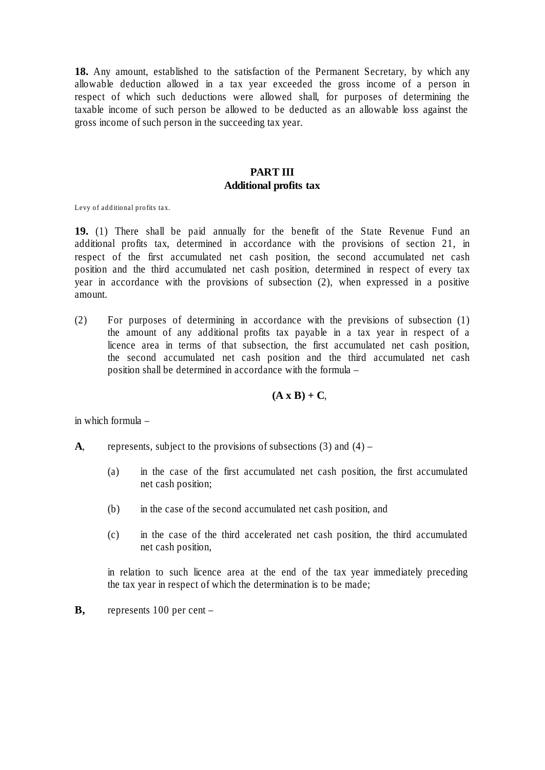**18.** Any amount, established to the satisfaction of the Permanent Secretary, by which any allowable deduction allowed in a tax year exceeded the gross income of a person in respect of which such deductions were allowed shall, for purposes of determining the taxable income of such person be allowed to be deducted as an allowable loss against the gross income of such person in the succeeding tax year.

#### **PART III Additional profits tax**

Levy of additional profits tax.

**19.** (1) There shall be paid annually for the benefit of the State Revenue Fund an additional profits tax, determined in accordance with the provisions of section 21, in respect of the first accumulated net cash position, the second accumulated net cash position and the third accumulated net cash position, determined in respect of every tax year in accordance with the provisions of subsection (2), when expressed in a positive amount.

(2) For purposes of determining in accordance with the previsions of subsection (1) the amount of any additional profits tax payable in a tax year in respect of a licence area in terms of that subsection, the first accumulated net cash position, the second accumulated net cash position and the third accumulated net cash position shall be determined in accordance with the formula –

#### $(A \times B) + C$

in which formula –

- **A**, represents, subject to the provisions of subsections  $(3)$  and  $(4)$ 
	- (a) in the case of the first accumulated net cash position, the first accumulated net cash position;
	- (b) in the case of the second accumulated net cash position, and
	- (c) in the case of the third accelerated net cash position, the third accumulated net cash position,

in relation to such licence area at the end of the tax year immediately preceding the tax year in respect of which the determination is to be made;

**B,** represents 100 per cent –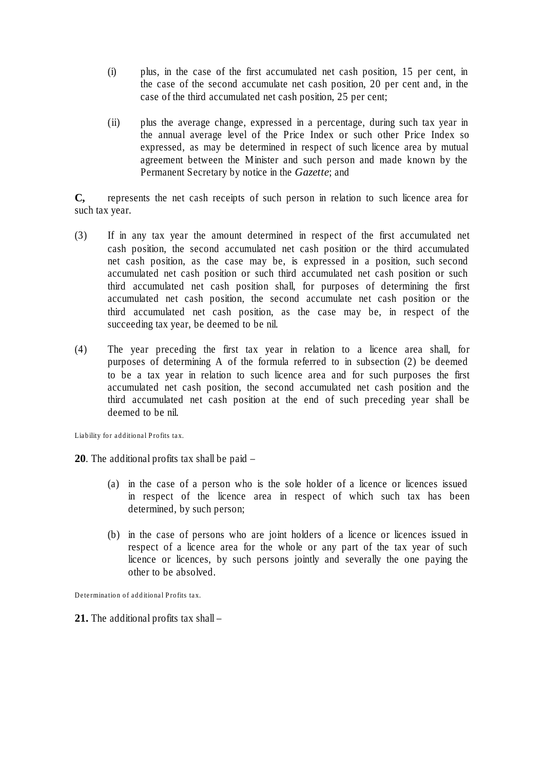- (i) plus, in the case of the first accumulated net cash position, 15 per cent, in the case of the second accumulate net cash position, 20 per cent and, in the case of the third accumulated net cash position, 25 per cent;
- (ii) plus the average change, expressed in a percentage, during such tax year in the annual average level of the Price Index or such other Price Index so expressed, as may be determined in respect of such licence area by mutual agreement between the Minister and such person and made known by the Permanent Secretary by notice in the *Gazette*; and

**C,** represents the net cash receipts of such person in relation to such licence area for such tax year.

- (3) If in any tax year the amount determined in respect of the first accumulated net cash position, the second accumulated net cash position or the third accumulated net cash position, as the case may be, is expressed in a position, such second accumulated net cash position or such third accumulated net cash position or such third accumulated net cash position shall, for purposes of determining the first accumulated net cash position, the second accumulate net cash position or the third accumulated net cash position, as the case may be, in respect of the succeeding tax year, be deemed to be nil.
- (4) The year preceding the first tax year in relation to a licence area shall, for purposes of determining A of the formula referred to in subsection (2) be deemed to be a tax year in relation to such licence area and for such purposes the first accumulated net cash position, the second accumulated net cash position and the third accumulated net cash position at the end of such preceding year shall be deemed to be nil.

Liability for additional Profits tax.

**20**. The additional profits tax shall be paid –

- (a) in the case of a person who is the sole holder of a licence or licences issued in respect of the licence area in respect of which such tax has been determined, by such person;
- (b) in the case of persons who are joint holders of a licence or licences issued in respect of a licence area for the whole or any part of the tax year of such licence or licences, by such persons jointly and severally the one paying the other to be absolved.

Determination of additional Profits tax.

**21.** The additional profits tax shall –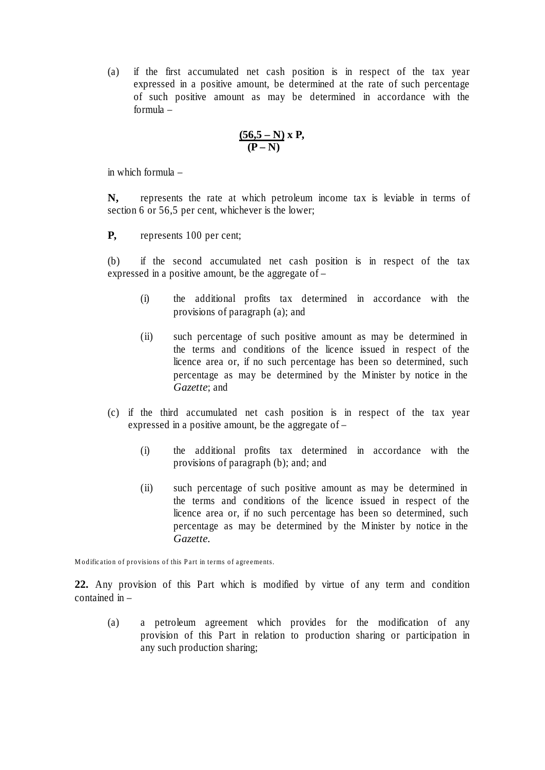(a) if the first accumulated net cash position is in respect of the tax year expressed in a positive amount, be determined at the rate of such percentage of such positive amount as may be determined in accordance with the formula –

$$
\frac{(56.5-N)}{(P-N)} \, x \, P,
$$

in which formula –

**N,** represents the rate at which petroleum income tax is leviable in terms of section 6 or 56,5 per cent, whichever is the lower;

**P,** represents 100 per cent;

(b) if the second accumulated net cash position is in respect of the tax expressed in a positive amount, be the aggregate of –

- (i) the additional profits tax determined in accordance with the provisions of paragraph (a); and
- (ii) such percentage of such positive amount as may be determined in the terms and conditions of the licence issued in respect of the licence area or, if no such percentage has been so determined, such percentage as may be determined by the Minister by notice in the *Gazette*; and
- (c) if the third accumulated net cash position is in respect of the tax year expressed in a positive amount, be the aggregate of –
	- (i) the additional profits tax determined in accordance with the provisions of paragraph (b); and; and
	- (ii) such percentage of such positive amount as may be determined in the terms and conditions of the licence issued in respect of the licence area or, if no such percentage has been so determined, such percentage as may be determined by the Minister by notice in the *Gazette.*

Modification of provisions of this Part in terms of agreements.

**22.** Any provision of this Part which is modified by virtue of any term and condition contained in –

(a) a petroleum agreement which provides for the modification of any provision of this Part in relation to production sharing or participation in any such production sharing;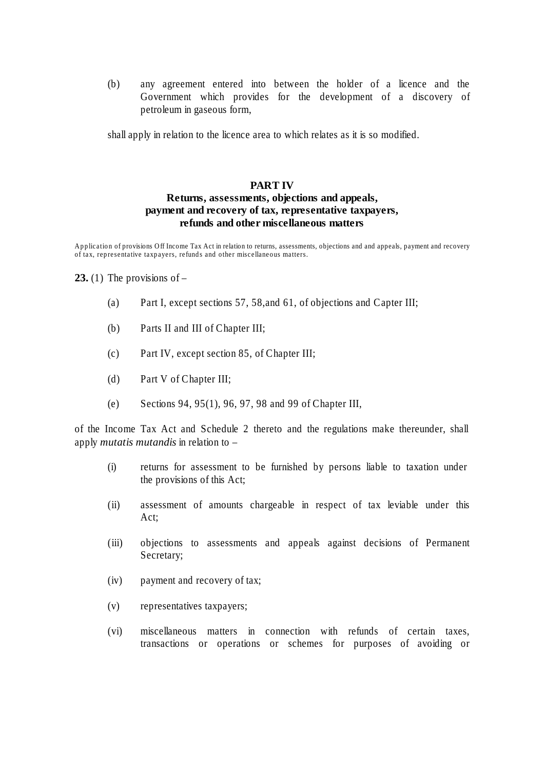(b) any agreement entered into between the holder of a licence and the Government which provides for the development of a discovery of petroleum in gaseous form,

shall apply in relation to the licence area to which relates as it is so modified.

#### **PART IV**

### **Returns, assessments, objections and appeals, payment and recovery of tax, representative taxpayers, refunds and other miscellaneous matters**

Application of provisions Off Income Tax Act in relation to returns, assessments, objections and and appeals, payment and recovery of tax, representative taxpayers, refunds and other miscellaneous matters.

#### **23.** (1) The provisions of  $-$

- (a) Part I, except sections 57, 58,and 61, of objections and Capter III;
- (b) Parts II and III of Chapter III;
- (c) Part IV, except section 85, of Chapter III;
- (d) Part V of Chapter III;
- (e) Sections 94, 95(1), 96, 97, 98 and 99 of Chapter III,

of the Income Tax Act and Schedule 2 thereto and the regulations make thereunder, shall apply *mutatis mutandis* in relation to –

- (i) returns for assessment to be furnished by persons liable to taxation under the provisions of this Act;
- (ii) assessment of amounts chargeable in respect of tax leviable under this Act;
- (iii) objections to assessments and appeals against decisions of Permanent Secretary;
- (iv) payment and recovery of tax;
- (v) representatives taxpayers;
- (vi) miscellaneous matters in connection with refunds of certain taxes, transactions or operations or schemes for purposes of avoiding or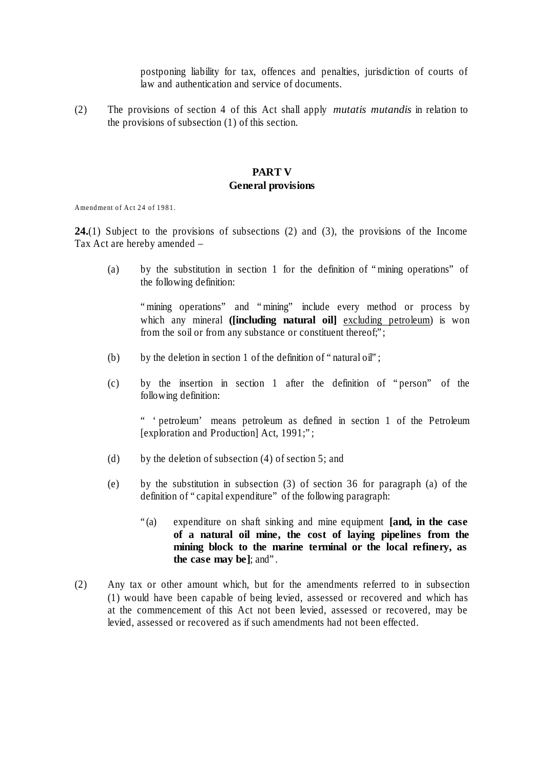postponing liability for tax, offences and penalties, jurisdiction of courts of law and authentication and service of documents.

(2) The provisions of section 4 of this Act shall apply *mutatis mutandis* in relation to the provisions of subsection (1) of this section.

#### **PART V General provisions**

Amendment of Act 24 of 1981.

**24.**(1) Subject to the provisions of subsections (2) and (3), the provisions of the Income Tax Act are hereby amended –

(a) by the substitution in section 1 for the definition of "mining operations" of the following definition:

"mining operations" and "mining" include every method or process by which any mineral **([including natural oil]** excluding petroleum) is won from the soil or from any substance or constituent thereof;";

- (b) by the deletion in section 1 of the definition of "natural oil";
- (c) by the insertion in section 1 after the definition of "person" of the following definition:

" 'petroleum' means petroleum as defined in section 1 of the Petroleum [exploration and Production] Act, 1991;";

- (d) by the deletion of subsection (4) of section 5; and
- (e) by the substitution in subsection (3) of section 36 for paragraph (a) of the definition of "capital expenditure" of the following paragraph:
	- "(a) expenditure on shaft sinking and mine equipment **[and, in the case of a natural oil mine, the cost of laying pipelines from the mining block to the marine terminal or the local refinery, as the case may be]**; and".
- (2) Any tax or other amount which, but for the amendments referred to in subsection (1) would have been capable of being levied, assessed or recovered and which has at the commencement of this Act not been levied, assessed or recovered, may be levied, assessed or recovered as if such amendments had not been effected.